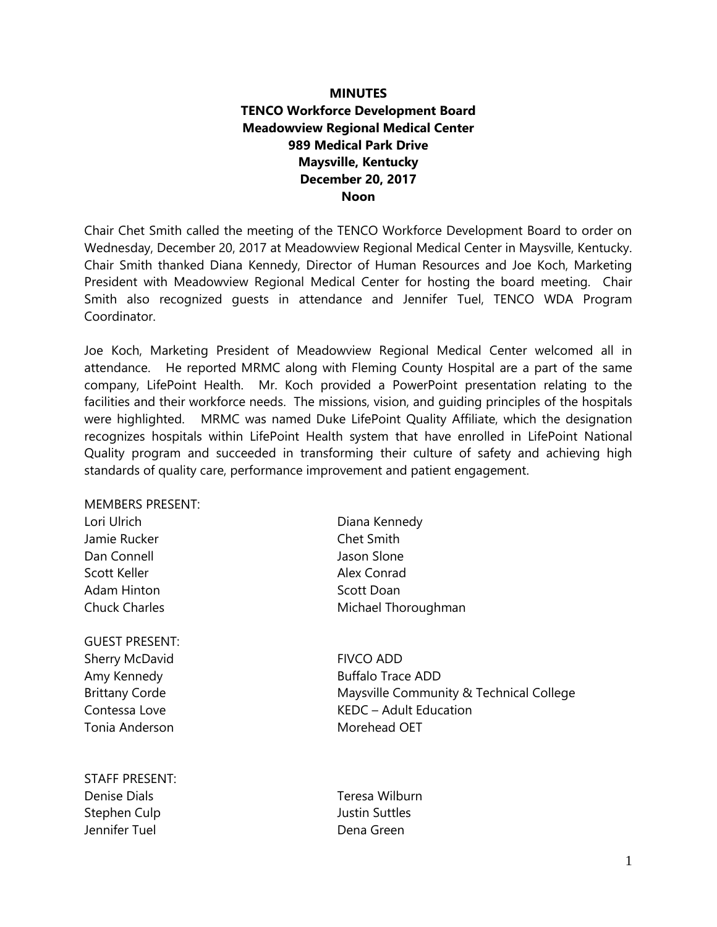# **MINUTES TENCO Workforce Development Board Meadowview Regional Medical Center 989 Medical Park Drive Maysville, Kentucky December 20, 2017 Noon**

Chair Chet Smith called the meeting of the TENCO Workforce Development Board to order on Wednesday, December 20, 2017 at Meadowview Regional Medical Center in Maysville, Kentucky. Chair Smith thanked Diana Kennedy, Director of Human Resources and Joe Koch, Marketing President with Meadowview Regional Medical Center for hosting the board meeting. Chair Smith also recognized guests in attendance and Jennifer Tuel, TENCO WDA Program Coordinator.

Joe Koch, Marketing President of Meadowview Regional Medical Center welcomed all in attendance. He reported MRMC along with Fleming County Hospital are a part of the same company, LifePoint Health. Mr. Koch provided a PowerPoint presentation relating to the facilities and their workforce needs. The missions, vision, and guiding principles of the hospitals were highlighted. MRMC was named Duke LifePoint Quality Affiliate, which the designation recognizes hospitals within LifePoint Health system that have enrolled in LifePoint National Quality program and succeeded in transforming their culture of safety and achieving high standards of quality care, performance improvement and patient engagement.

| <b>MEMBERS PRESENT:</b> |                                         |
|-------------------------|-----------------------------------------|
| Lori Ulrich             | Diana Kennedy                           |
| Jamie Rucker            | <b>Chet Smith</b>                       |
| Dan Connell             | Jason Slone                             |
| Scott Keller            | Alex Conrad                             |
| Adam Hinton             | Scott Doan                              |
| <b>Chuck Charles</b>    | Michael Thoroughman                     |
| <b>GUEST PRESENT:</b>   |                                         |
| Sherry McDavid          | <b>FIVCO ADD</b>                        |
| Amy Kennedy             | <b>Buffalo Trace ADD</b>                |
| <b>Brittany Corde</b>   | Maysville Community & Technical College |
| Contessa Love           | KEDC - Adult Education                  |

Tonia Anderson **Morehead OET** 

STAFF PRESENT: Denise Dials Teresa Wilburn Stephen Culp **Justin Suttles** Jennifer Tuel Dena Green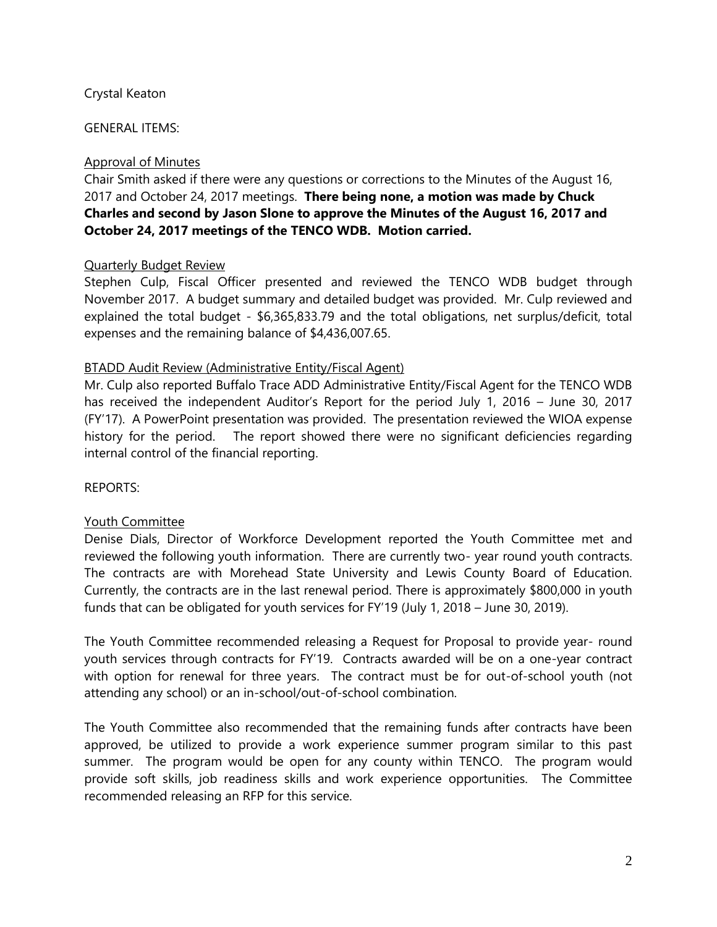### Crystal Keaton

GENERAL ITEMS:

### Approval of Minutes

Chair Smith asked if there were any questions or corrections to the Minutes of the August 16, 2017 and October 24, 2017 meetings. **There being none, a motion was made by Chuck Charles and second by Jason Slone to approve the Minutes of the August 16, 2017 and October 24, 2017 meetings of the TENCO WDB. Motion carried.**

### Quarterly Budget Review

Stephen Culp, Fiscal Officer presented and reviewed the TENCO WDB budget through November 2017. A budget summary and detailed budget was provided. Mr. Culp reviewed and explained the total budget - \$6,365,833.79 and the total obligations, net surplus/deficit, total expenses and the remaining balance of \$4,436,007.65.

### BTADD Audit Review (Administrative Entity/Fiscal Agent)

Mr. Culp also reported Buffalo Trace ADD Administrative Entity/Fiscal Agent for the TENCO WDB has received the independent Auditor's Report for the period July 1, 2016 – June 30, 2017 (FY'17). A PowerPoint presentation was provided. The presentation reviewed the WIOA expense history for the period. The report showed there were no significant deficiencies regarding internal control of the financial reporting.

#### REPORTS:

#### Youth Committee

Denise Dials, Director of Workforce Development reported the Youth Committee met and reviewed the following youth information. There are currently two- year round youth contracts. The contracts are with Morehead State University and Lewis County Board of Education. Currently, the contracts are in the last renewal period. There is approximately \$800,000 in youth funds that can be obligated for youth services for FY'19 (July 1, 2018 – June 30, 2019).

The Youth Committee recommended releasing a Request for Proposal to provide year- round youth services through contracts for FY'19. Contracts awarded will be on a one-year contract with option for renewal for three years. The contract must be for out-of-school youth (not attending any school) or an in-school/out-of-school combination.

The Youth Committee also recommended that the remaining funds after contracts have been approved, be utilized to provide a work experience summer program similar to this past summer. The program would be open for any county within TENCO. The program would provide soft skills, job readiness skills and work experience opportunities. The Committee recommended releasing an RFP for this service.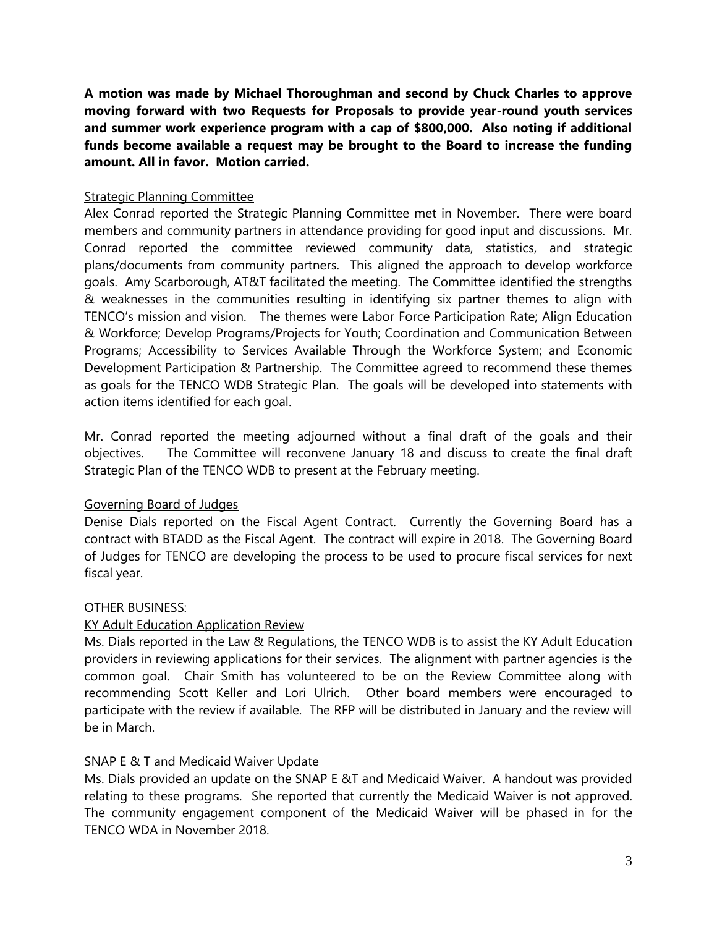**A motion was made by Michael Thoroughman and second by Chuck Charles to approve moving forward with two Requests for Proposals to provide year-round youth services and summer work experience program with a cap of \$800,000. Also noting if additional funds become available a request may be brought to the Board to increase the funding amount. All in favor. Motion carried.** 

### Strategic Planning Committee

Alex Conrad reported the Strategic Planning Committee met in November. There were board members and community partners in attendance providing for good input and discussions. Mr. Conrad reported the committee reviewed community data, statistics, and strategic plans/documents from community partners. This aligned the approach to develop workforce goals. Amy Scarborough, AT&T facilitated the meeting. The Committee identified the strengths & weaknesses in the communities resulting in identifying six partner themes to align with TENCO's mission and vision. The themes were Labor Force Participation Rate; Align Education & Workforce; Develop Programs/Projects for Youth; Coordination and Communication Between Programs; Accessibility to Services Available Through the Workforce System; and Economic Development Participation & Partnership. The Committee agreed to recommend these themes as goals for the TENCO WDB Strategic Plan. The goals will be developed into statements with action items identified for each goal.

Mr. Conrad reported the meeting adjourned without a final draft of the goals and their objectives. The Committee will reconvene January 18 and discuss to create the final draft Strategic Plan of the TENCO WDB to present at the February meeting.

# Governing Board of Judges

Denise Dials reported on the Fiscal Agent Contract. Currently the Governing Board has a contract with BTADD as the Fiscal Agent. The contract will expire in 2018. The Governing Board of Judges for TENCO are developing the process to be used to procure fiscal services for next fiscal year.

#### OTHER BUSINESS:

# KY Adult Education Application Review

Ms. Dials reported in the Law & Regulations, the TENCO WDB is to assist the KY Adult Education providers in reviewing applications for their services. The alignment with partner agencies is the common goal. Chair Smith has volunteered to be on the Review Committee along with recommending Scott Keller and Lori Ulrich. Other board members were encouraged to participate with the review if available. The RFP will be distributed in January and the review will be in March.

# SNAP E & T and Medicaid Waiver Update

Ms. Dials provided an update on the SNAP E &T and Medicaid Waiver. A handout was provided relating to these programs. She reported that currently the Medicaid Waiver is not approved. The community engagement component of the Medicaid Waiver will be phased in for the TENCO WDA in November 2018.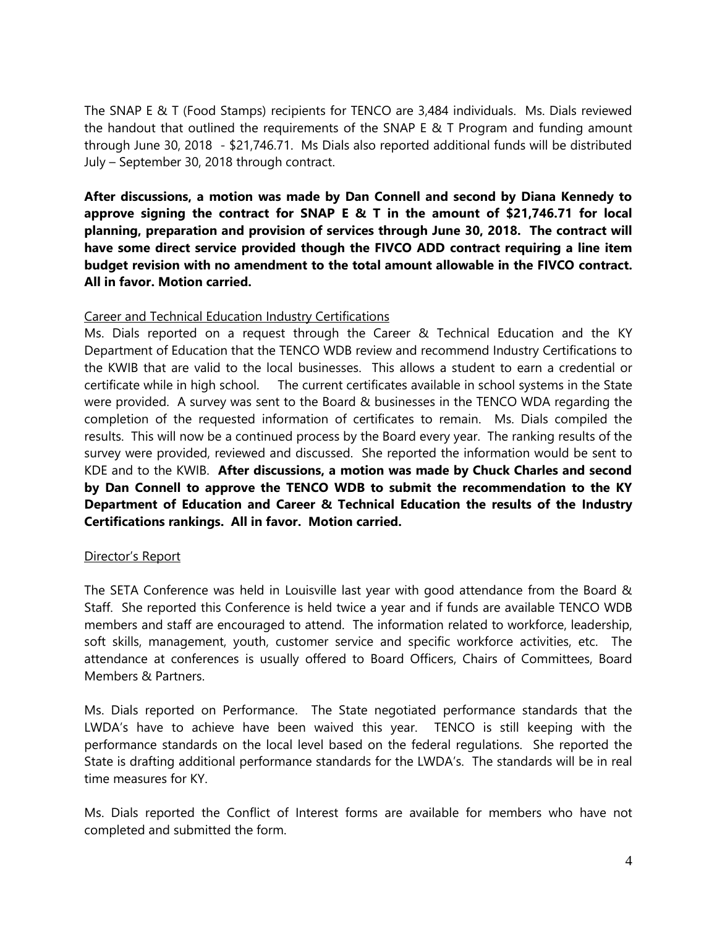The SNAP E & T (Food Stamps) recipients for TENCO are 3,484 individuals. Ms. Dials reviewed the handout that outlined the requirements of the SNAP E & T Program and funding amount through June 30, 2018 - \$21,746.71. Ms Dials also reported additional funds will be distributed July – September 30, 2018 through contract.

**After discussions, a motion was made by Dan Connell and second by Diana Kennedy to approve signing the contract for SNAP E & T in the amount of \$21,746.71 for local planning, preparation and provision of services through June 30, 2018. The contract will have some direct service provided though the FIVCO ADD contract requiring a line item budget revision with no amendment to the total amount allowable in the FIVCO contract. All in favor. Motion carried.**

#### Career and Technical Education Industry Certifications

Ms. Dials reported on a request through the Career & Technical Education and the KY Department of Education that the TENCO WDB review and recommend Industry Certifications to the KWIB that are valid to the local businesses. This allows a student to earn a credential or certificate while in high school. The current certificates available in school systems in the State were provided. A survey was sent to the Board & businesses in the TENCO WDA regarding the completion of the requested information of certificates to remain. Ms. Dials compiled the results. This will now be a continued process by the Board every year. The ranking results of the survey were provided, reviewed and discussed. She reported the information would be sent to KDE and to the KWIB. **After discussions, a motion was made by Chuck Charles and second by Dan Connell to approve the TENCO WDB to submit the recommendation to the KY Department of Education and Career & Technical Education the results of the Industry Certifications rankings. All in favor. Motion carried.** 

# Director's Report

The SETA Conference was held in Louisville last year with good attendance from the Board & Staff. She reported this Conference is held twice a year and if funds are available TENCO WDB members and staff are encouraged to attend. The information related to workforce, leadership, soft skills, management, youth, customer service and specific workforce activities, etc. The attendance at conferences is usually offered to Board Officers, Chairs of Committees, Board Members & Partners.

Ms. Dials reported on Performance. The State negotiated performance standards that the LWDA's have to achieve have been waived this year. TENCO is still keeping with the performance standards on the local level based on the federal regulations. She reported the State is drafting additional performance standards for the LWDA's. The standards will be in real time measures for KY.

Ms. Dials reported the Conflict of Interest forms are available for members who have not completed and submitted the form.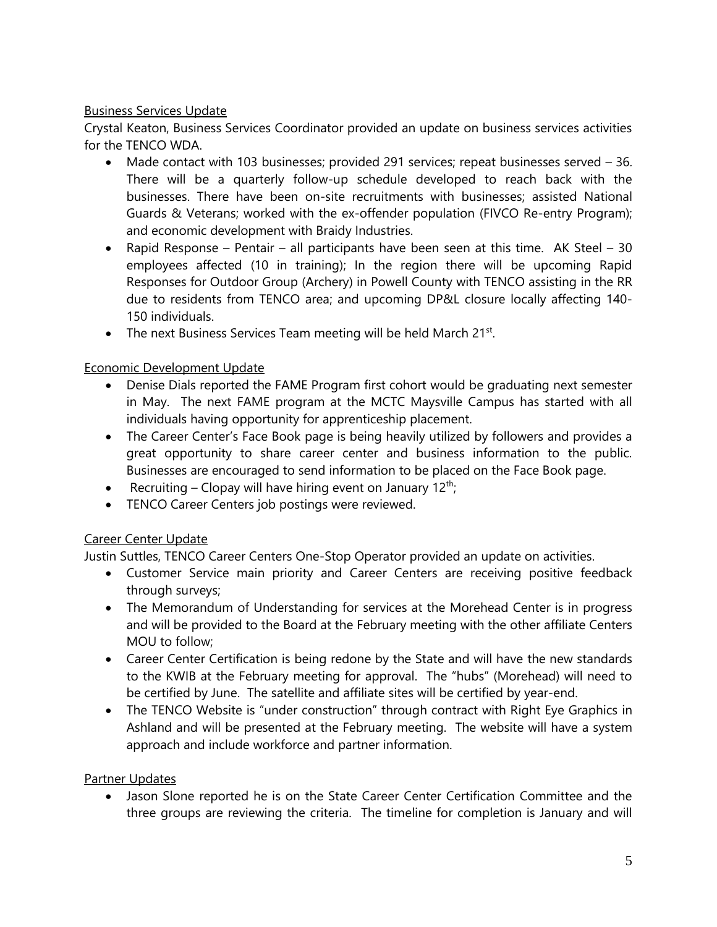# Business Services Update

Crystal Keaton, Business Services Coordinator provided an update on business services activities for the TFNCO WDA

- Made contact with 103 businesses; provided 291 services; repeat businesses served 36. There will be a quarterly follow-up schedule developed to reach back with the businesses. There have been on-site recruitments with businesses; assisted National Guards & Veterans; worked with the ex-offender population (FIVCO Re-entry Program); and economic development with Braidy Industries.
- Rapid Response Pentair all participants have been seen at this time. AK Steel 30 employees affected (10 in training); In the region there will be upcoming Rapid Responses for Outdoor Group (Archery) in Powell County with TENCO assisting in the RR due to residents from TENCO area; and upcoming DP&L closure locally affecting 140- 150 individuals.
- The next Business Services Team meeting will be held March 21st.

# Economic Development Update

- Denise Dials reported the FAME Program first cohort would be graduating next semester in May. The next FAME program at the MCTC Maysville Campus has started with all individuals having opportunity for apprenticeship placement.
- The Career Center's Face Book page is being heavily utilized by followers and provides a great opportunity to share career center and business information to the public. Businesses are encouraged to send information to be placed on the Face Book page.
- Recruiting Clopay will have hiring event on January  $12^{th}$ ;
- TENCO Career Centers job postings were reviewed.

# Career Center Update

Justin Suttles, TENCO Career Centers One-Stop Operator provided an update on activities.

- Customer Service main priority and Career Centers are receiving positive feedback through surveys;
- The Memorandum of Understanding for services at the Morehead Center is in progress and will be provided to the Board at the February meeting with the other affiliate Centers MOU to follow;
- Career Center Certification is being redone by the State and will have the new standards to the KWIB at the February meeting for approval. The "hubs" (Morehead) will need to be certified by June. The satellite and affiliate sites will be certified by year-end.
- The TENCO Website is "under construction" through contract with Right Eye Graphics in Ashland and will be presented at the February meeting. The website will have a system approach and include workforce and partner information.

# Partner Updates

• Jason Slone reported he is on the State Career Center Certification Committee and the three groups are reviewing the criteria. The timeline for completion is January and will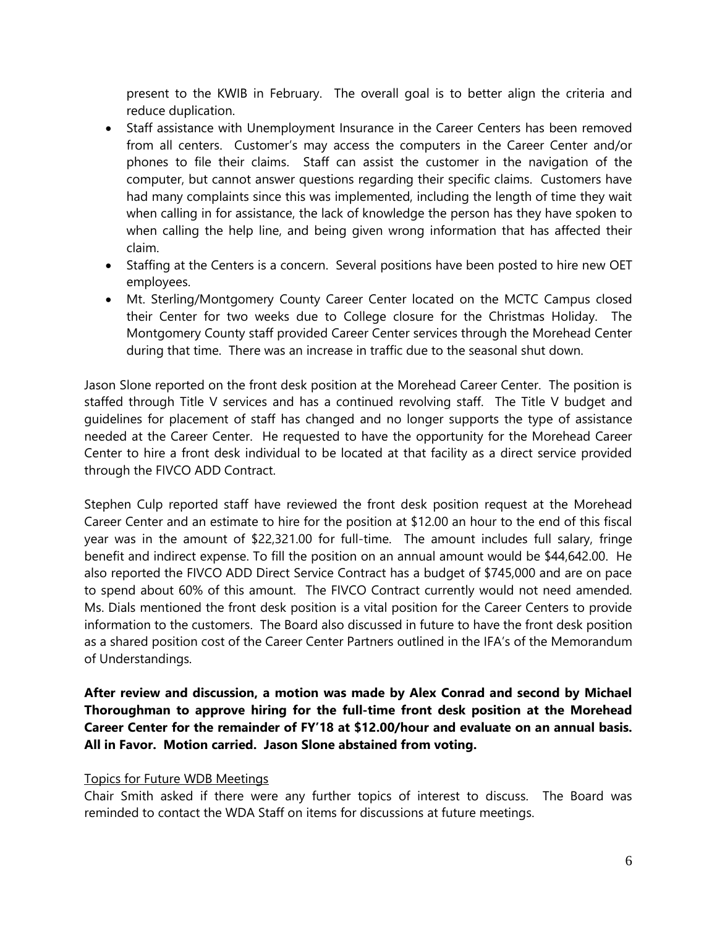present to the KWIB in February. The overall goal is to better align the criteria and reduce duplication.

- Staff assistance with Unemployment Insurance in the Career Centers has been removed from all centers. Customer's may access the computers in the Career Center and/or phones to file their claims. Staff can assist the customer in the navigation of the computer, but cannot answer questions regarding their specific claims. Customers have had many complaints since this was implemented, including the length of time they wait when calling in for assistance, the lack of knowledge the person has they have spoken to when calling the help line, and being given wrong information that has affected their claim.
- Staffing at the Centers is a concern. Several positions have been posted to hire new OET employees.
- Mt. Sterling/Montgomery County Career Center located on the MCTC Campus closed their Center for two weeks due to College closure for the Christmas Holiday. The Montgomery County staff provided Career Center services through the Morehead Center during that time. There was an increase in traffic due to the seasonal shut down.

Jason Slone reported on the front desk position at the Morehead Career Center. The position is staffed through Title V services and has a continued revolving staff. The Title V budget and guidelines for placement of staff has changed and no longer supports the type of assistance needed at the Career Center. He requested to have the opportunity for the Morehead Career Center to hire a front desk individual to be located at that facility as a direct service provided through the FIVCO ADD Contract.

Stephen Culp reported staff have reviewed the front desk position request at the Morehead Career Center and an estimate to hire for the position at \$12.00 an hour to the end of this fiscal year was in the amount of \$22,321.00 for full-time. The amount includes full salary, fringe benefit and indirect expense. To fill the position on an annual amount would be \$44,642.00. He also reported the FIVCO ADD Direct Service Contract has a budget of \$745,000 and are on pace to spend about 60% of this amount. The FIVCO Contract currently would not need amended. Ms. Dials mentioned the front desk position is a vital position for the Career Centers to provide information to the customers. The Board also discussed in future to have the front desk position as a shared position cost of the Career Center Partners outlined in the IFA's of the Memorandum of Understandings.

**After review and discussion, a motion was made by Alex Conrad and second by Michael Thoroughman to approve hiring for the full-time front desk position at the Morehead Career Center for the remainder of FY'18 at \$12.00/hour and evaluate on an annual basis. All in Favor. Motion carried. Jason Slone abstained from voting.**

#### Topics for Future WDB Meetings

Chair Smith asked if there were any further topics of interest to discuss. The Board was reminded to contact the WDA Staff on items for discussions at future meetings.